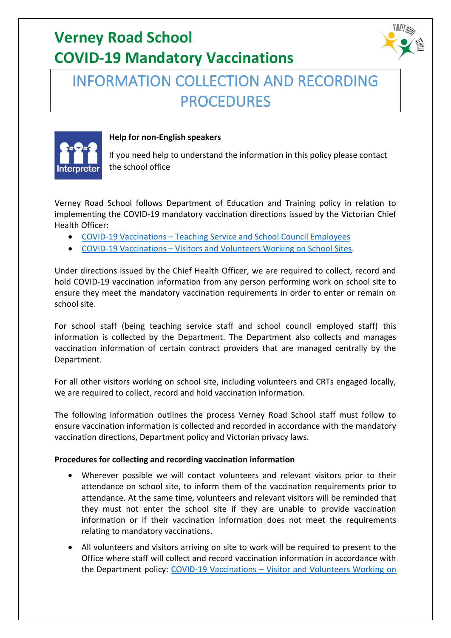# **Verney Road School COVID-19 Mandatory Vaccinations**

## INFORMATION COLLECTION AND RECORDING PROCEDURES



#### **Help for non-English speakers**

If you need help to understand the information in this policy please contact the school office

Verney Road School follows Department of Education and Training policy in relation to implementing the COVID-19 mandatory vaccination directions issued by the Victorian Chief Health Officer:

- COVID-19 Vaccinations [Teaching Service and School Council Employees](https://www2.education.vic.gov.au/pal/covid-19-vaccinations-teaching-service-school-council-employees/overview)
- COVID-19 Vaccinations [Visitors and Volunteers Working on School Sites.](https://www2.education.vic.gov.au/pal/covid-19-vaccinations-visitors-volunteers/policy)

Under directions issued by the Chief Health Officer, we are required to collect, record and hold COVID-19 vaccination information from any person performing work on school site to ensure they meet the mandatory vaccination requirements in order to enter or remain on school site.

For school staff (being teaching service staff and school council employed staff) this information is collected by the Department. The Department also collects and manages vaccination information of certain contract providers that are managed centrally by the Department.

For all other visitors working on school site, including volunteers and CRTs engaged locally, we are required to collect, record and hold vaccination information.

The following information outlines the process Verney Road School staff must follow to ensure vaccination information is collected and recorded in accordance with the mandatory vaccination directions, Department policy and Victorian privacy laws.

### **Procedures for collecting and recording vaccination information**

- Wherever possible we will contact volunteers and relevant visitors prior to their attendance on school site, to inform them of the vaccination requirements prior to attendance. At the same time, volunteers and relevant visitors will be reminded that they must not enter the school site if they are unable to provide vaccination information or if their vaccination information does not meet the requirements relating to mandatory vaccinations.
- All volunteers and visitors arriving on site to work will be required to present to the Office where staff will collect and record vaccination information in accordance with the Department policy: COVID-19 Vaccinations – [Visitor and Volunteers Working on](https://www2.education.vic.gov.au/pal/covid-19-vaccinations-visitors-volunteers/policy)